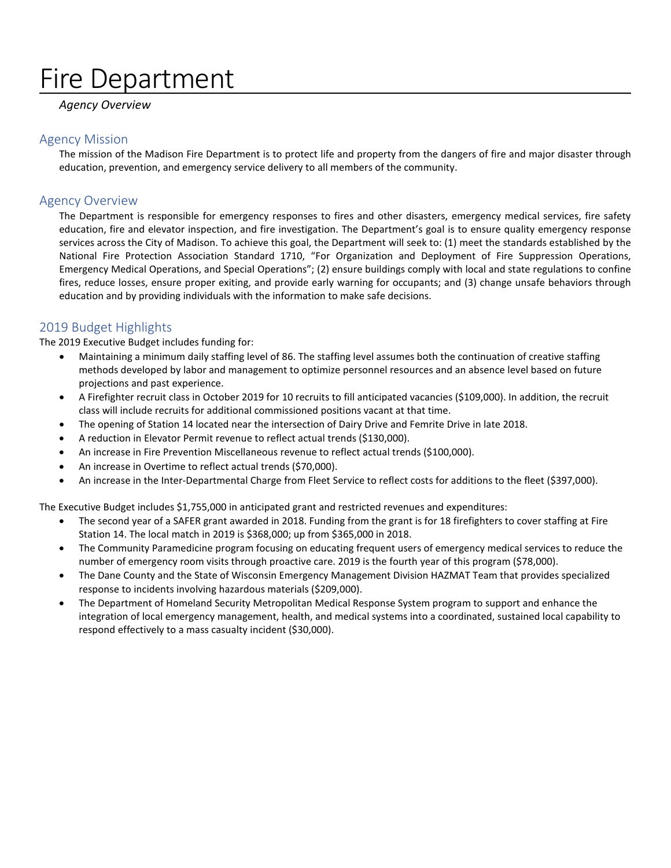# Fire Department

#### *Agency Overview*

#### Agency Mission

The mission of the Madison Fire Department is to protect life and property from the dangers of fire and major disaster through education, prevention, and emergency service delivery to all members of the community.

#### Agency Overview

The Department is responsible for emergency responses to fires and other disasters, emergency medical services, fire safety education, fire and elevator inspection, and fire investigation. The Department's goal is to ensure quality emergency response services across the City of Madison. To achieve this goal, the Department will seek to: (1) meet the standards established by the National Fire Protection Association Standard 1710, "For Organization and Deployment of Fire Suppression Operations, Emergency Medical Operations, and Special Operations"; (2) ensure buildings comply with local and state regulations to confine fires, reduce losses, ensure proper exiting, and provide early warning for occupants; and (3) change unsafe behaviors through education and by providing individuals with the information to make safe decisions.

#### 2019 Budget Highlights

The 2019 Executive Budget includes funding for:

- Maintaining a minimum daily staffing level of 86. The staffing level assumes both the continuation of creative staffing methods developed by labor and management to optimize personnel resources and an absence level based on future projections and past experience.
- A Firefighter recruit class in October 2019 for 10 recruits to fill anticipated vacancies (\$109,000). In addition, the recruit class will include recruits for additional commissioned positions vacant at that time.
- The opening of Station 14 located near the intersection of Dairy Drive and Femrite Drive in late 2018.
- A reduction in Elevator Permit revenue to reflect actual trends (\$130,000).
- An increase in Fire Prevention Miscellaneous revenue to reflect actual trends (\$100,000).
- An increase in Overtime to reflect actual trends (\$70,000).
- An increase in the Inter-Departmental Charge from Fleet Service to reflect costs for additions to the fleet (\$397,000).

The Executive Budget includes \$1,755,000 in anticipated grant and restricted revenues and expenditures:

- The second year of a SAFER grant awarded in 2018. Funding from the grant is for 18 firefighters to cover staffing at Fire Station 14. The local match in 2019 is \$368,000; up from \$365,000 in 2018.
- The Community Paramedicine program focusing on educating frequent users of emergency medical services to reduce the number of emergency room visits through proactive care. 2019 is the fourth year of this program (\$78,000).
- The Dane County and the State of Wisconsin Emergency Management Division HAZMAT Team that provides specialized response to incidents involving hazardous materials (\$209,000).
- The Department of Homeland Security Metropolitan Medical Response System program to support and enhance the integration of local emergency management, health, and medical systems into a coordinated, sustained local capability to respond effectively to a mass casualty incident (\$30,000).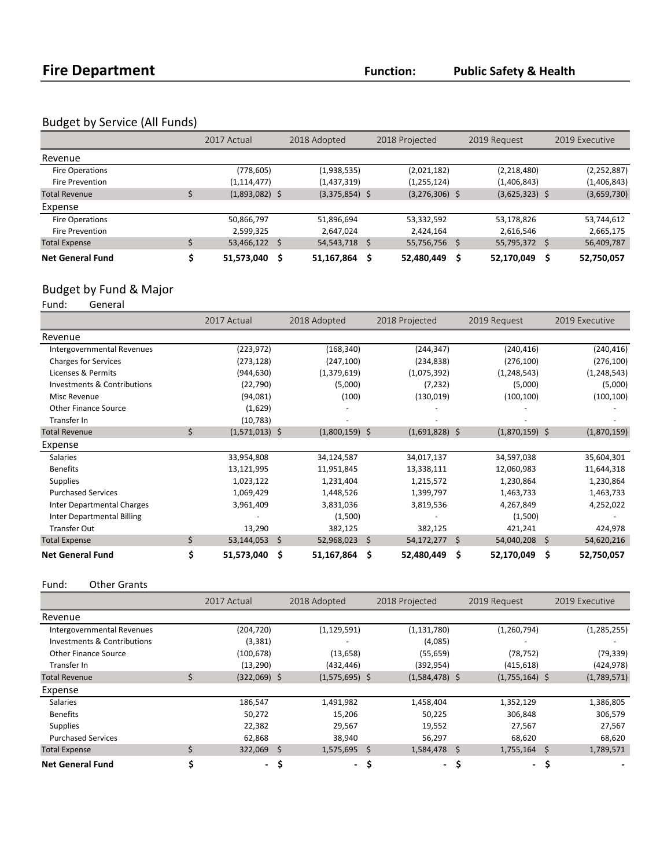**Public Safety & Health**

### Budget by Service (All Funds)

|                         | 2017 Actual      |   | 2018 Adopted     |      | 2018 Projected   |              | 2019 Request     |    | 2019 Executive |
|-------------------------|------------------|---|------------------|------|------------------|--------------|------------------|----|----------------|
| Revenue                 |                  |   |                  |      |                  |              |                  |    |                |
| Fire Operations         | (778, 605)       |   | (1,938,535)      |      | (2,021,182)      |              | (2,218,480)      |    | (2, 252, 887)  |
| <b>Fire Prevention</b>  | (1, 114, 477)    |   | (1,437,319)      |      | (1, 255, 124)    |              | (1,406,843)      |    | (1,406,843)    |
| <b>Total Revenue</b>    | $(1,893,082)$ \$ |   | $(3,375,854)$ \$ |      | $(3,276,306)$ \$ |              | $(3,625,323)$ \$ |    | (3,659,730)    |
| Expense                 |                  |   |                  |      |                  |              |                  |    |                |
| Fire Operations         | 50,866,797       |   | 51,896,694       |      | 53,332,592       |              | 53,178,826       |    | 53,744,612     |
| <b>Fire Prevention</b>  | 2,599,325        |   | 2,647,024        |      | 2,424,164        |              | 2,616,546        |    | 2,665,175      |
| <b>Total Expense</b>    | 53,466,122 \$    |   | 54,543,718 \$    |      | 55,756,756       | <sub>S</sub> | 55,795,372       | S. | 56,409,787     |
| <b>Net General Fund</b> | 51,573,040       | S | 51,167,864       | - \$ | 52,480,449       |              | 52,170,049       |    | 52,750,057     |

## Budget by Fund & Major<br>Fund: General

General

|                                   | 2017 Actual            | 2018 Adopted          | 2018 Projected    | 2019 Request     | 2019 Executive   |
|-----------------------------------|------------------------|-----------------------|-------------------|------------------|------------------|
| Revenue                           |                        |                       |                   |                  |                  |
| Intergovernmental Revenues        | (223, 972)             | (168, 340)            | (244, 347)        | (240, 416)       | (240, 416)       |
| <b>Charges for Services</b>       | (273, 128)             | (247, 100)            | (234, 838)        | (276, 100)       | (276, 100)       |
| Licenses & Permits                | (944, 630)             | (1,379,619)           | (1,075,392)       | (1, 248, 543)    | (1, 248, 543)    |
| Investments & Contributions       | (22, 790)              | (5,000)               | (7, 232)          | (5,000)          | (5,000)          |
| Misc Revenue                      | (94,081)               | (100)                 | (130, 019)        | (100, 100)       | (100, 100)       |
| <b>Other Finance Source</b>       | (1,629)                |                       |                   |                  |                  |
| Transfer In                       | (10, 783)              |                       |                   |                  |                  |
| <b>Total Revenue</b>              | \$<br>$(1,571,013)$ \$ | $(1,800,159)$ \$      | $(1,691,828)$ \$  | $(1,870,159)$ \$ | (1,870,159)      |
| Expense                           |                        |                       |                   |                  |                  |
| <b>Salaries</b>                   | 33,954,808             | 34,124,587            | 34,017,137        | 34,597,038       | 35,604,301       |
| <b>Benefits</b>                   | 13,121,995             | 11,951,845            | 13,338,111        | 12,060,983       | 11,644,318       |
| <b>Supplies</b>                   | 1,023,122              | 1,231,404             | 1,215,572         | 1,230,864        | 1,230,864        |
| <b>Purchased Services</b>         | 1,069,429              | 1,448,526             | 1,399,797         | 1,463,733        | 1,463,733        |
| <b>Inter Departmental Charges</b> | 3,961,409              | 3,831,036             | 3,819,536         | 4,267,849        | 4,252,022        |
| Inter Departmental Billing        |                        | (1,500)               |                   | (1,500)          |                  |
| <b>Transfer Out</b>               | 13,290                 | 382,125               | 382,125           | 421,241          | 424,978          |
| <b>Total Expense</b>              | \$<br>53,144,053       | \$<br>52,968,023      | 54,172,277<br>-\$ | \$<br>54,040,208 | \$<br>54,620,216 |
| <b>Net General Fund</b>           | \$<br>51,573,040       | Ś.<br>$51,167,864$ \$ | 52,480,449        | \$<br>52,170,049 | \$<br>52,750,057 |

Fund: Other Grants

|                             | 2017 Actual    |     | 2018 Adopted     | 2018 Projected |                          |     | 2019 Request     |    | 2019 Executive |
|-----------------------------|----------------|-----|------------------|----------------|--------------------------|-----|------------------|----|----------------|
| Revenue                     |                |     |                  |                |                          |     |                  |    |                |
| Intergovernmental Revenues  | (204, 720)     |     | (1, 129, 591)    |                | (1, 131, 780)            |     | (1,260,794)      |    | (1, 285, 255)  |
| Investments & Contributions | (3, 381)       |     |                  |                | (4,085)                  |     |                  |    |                |
| <b>Other Finance Source</b> | (100, 678)     |     | (13, 658)        |                | (55, 659)                |     | (78, 752)        |    | (79, 339)      |
| Transfer In                 | (13, 290)      |     | (432, 446)       |                | (392, 954)               |     | (415, 618)       |    | (424, 978)     |
| <b>Total Revenue</b>        | $(322,069)$ \$ |     | $(1,575,695)$ \$ |                | $(1,584,478)$ \$         |     | $(1,755,164)$ \$ |    | (1,789,571)    |
| Expense                     |                |     |                  |                |                          |     |                  |    |                |
| <b>Salaries</b>             | 186,547        |     | 1,491,982        |                | 1,458,404                |     | 1,352,129        |    | 1,386,805      |
| <b>Benefits</b>             | 50,272         |     | 15,206           |                | 50,225                   |     | 306,848          |    | 306,579        |
| <b>Supplies</b>             | 22,382         |     | 29,567           |                | 19,552                   |     | 27,567           |    | 27,567         |
| <b>Purchased Services</b>   | 62,868         |     | 38,940           |                | 56,297                   |     | 68,620           |    | 68,620         |
| <b>Total Expense</b>        | $322,069$ \$   |     | $1,575,695$ \$   |                | 1,584,478 \$             |     | $1,755,164$ \$   |    | 1,789,571      |
| <b>Net General Fund</b>     | $\sim$         | -\$ | - \$             |                | $\overline{\phantom{a}}$ | \$, | $\sim$           | -S |                |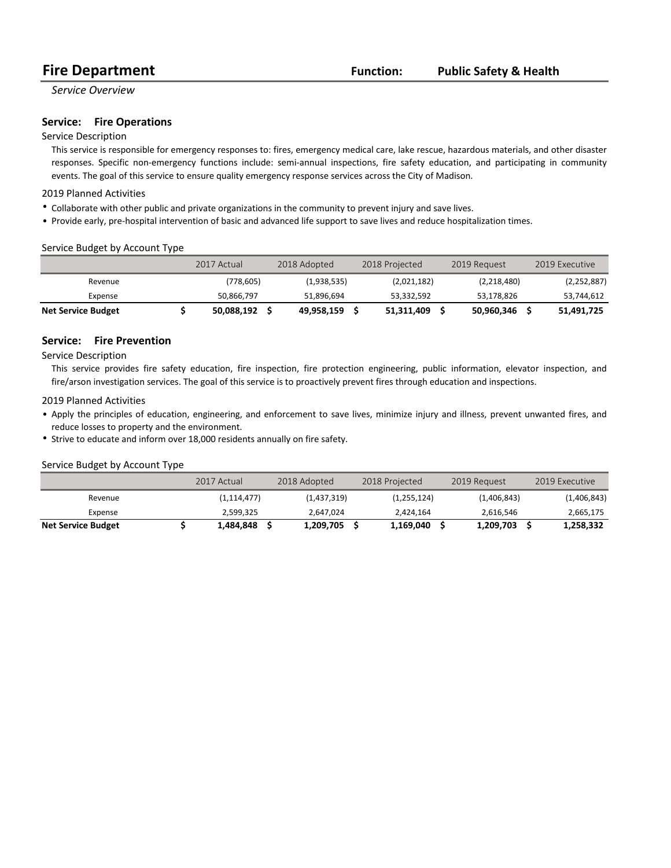#### **Public Safety & Health**

#### *Service Overview*

#### **Service:** Fire Operations

#### Service Description

This service is responsible for emergency responses to: fires, emergency medical care, lake rescue, hazardous materials, and other disaster responses. Specific non-emergency functions include: semi-annual inspections, fire safety education, and participating in community events. The goal of this service to ensure quality emergency response services across the City of Madison.

#### 2019 Planned Activities

- Collaborate with other public and private organizations in the community to prevent injury and save lives.
- Provide early, pre-hospital intervention of basic and advanced life support to save lives and reduce hospitalization times.

#### Service Budget by Account Type

|                           | 2017 Actual | 2018 Adopted |             | 2018 Projected |             | 2019 Request |             | 2019 Executive |
|---------------------------|-------------|--------------|-------------|----------------|-------------|--------------|-------------|----------------|
| Revenue                   | (778,605)   |              | (1,938,535) |                | (2,021,182) |              | (2,218,480) | (2, 252, 887)  |
| Expense                   | 50,866,797  |              | 51,896,694  |                | 53,332,592  |              | 53,178,826  | 53,744,612     |
| <b>Net Service Budget</b> | 50,088,192  |              | 49.958.159  |                | 51,311,409  | 50,960,346   |             | 51,491,725     |

#### **Service:** Fire Prevention

Service Description

This service provides fire safety education, fire inspection, fire protection engineering, public information, elevator inspection, and fire/arson investigation services. The goal of this service is to proactively prevent fires through education and inspections.

#### 2019 Planned Activities

- Apply the principles of education, engineering, and enforcement to save lives, minimize injury and illness, prevent unwanted fires, and reduce losses to property and the environment.
- Strive to educate and inform over 18,000 residents annually on fire safety.

#### Service Budget by Account Type

|                           | 2017 Actual   | 2018 Adopted | 2018 Projected | 2019 Request | 2019 Executive |
|---------------------------|---------------|--------------|----------------|--------------|----------------|
| Revenue                   | (1, 114, 477) | (1,437,319)  | (1,255,124)    | (1,406,843)  | (1,406,843)    |
| Expense                   | 2.599.325     | 2.647.024    | 2.424.164      | 2.616.546    | 2,665,175      |
| <b>Net Service Budget</b> | 1,484,848     | 1,209,705    | 1.169.040      | 1,209,703    | 1,258,332      |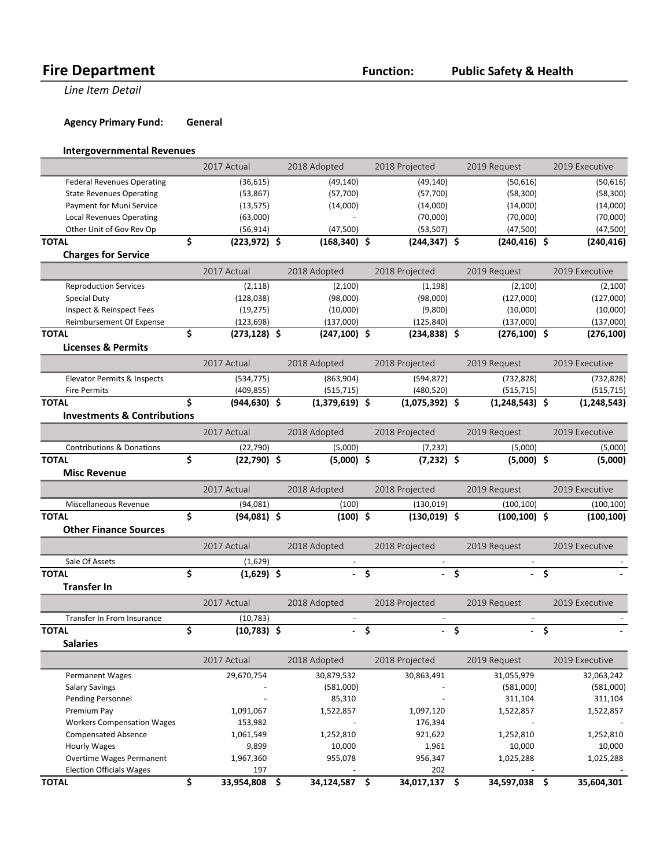**Line Item Detail** 

**Agency Primary Fund: General** 

#### **Intergovernmental Revenues**

|                                        | 2017 Actual           | 2018 Adopted        |                    | 2018 Projected   |             | 2019 Request     |        | 2019 Executive |
|----------------------------------------|-----------------------|---------------------|--------------------|------------------|-------------|------------------|--------|----------------|
| <b>Federal Revenues Operating</b>      | (36, 615)             | (49, 140)           |                    | (49, 140)        |             | (50,616)         |        | (50, 616)      |
| <b>State Revenues Operating</b>        | (53,867)              | (57,700)            |                    | (57,700)         |             | (58, 300)        |        | (58, 300)      |
| Payment for Muni Service               | (13, 575)             | (14,000)            |                    | (14,000)         |             | (14,000)         |        | (14,000)       |
| <b>Local Revenues Operating</b>        | (63,000)              |                     |                    | (70,000)         |             | (70,000)         |        | (70,000)       |
| Other Unit of Gov Rev Op               | (56, 914)             | (47,500)            |                    | (53, 507)        |             | (47,500)         |        | (47,500)       |
| <b>TOTAL</b>                           | \$<br>$(223, 972)$ \$ | $(168, 340)$ \$     |                    | $(244, 347)$ \$  |             | $(240, 416)$ \$  |        | (240, 416)     |
| <b>Charges for Service</b>             |                       |                     |                    |                  |             |                  |        |                |
|                                        | 2017 Actual           | 2018 Adopted        |                    | 2018 Projected   |             | 2019 Request     |        | 2019 Executive |
| <b>Reproduction Services</b>           | (2, 118)              | (2,100)             |                    | (1, 198)         |             | (2,100)          |        | (2,100)        |
| <b>Special Duty</b>                    | (128, 038)            | (98,000)            |                    | (98,000)         |             | (127,000)        |        | (127,000)      |
| Inspect & Reinspect Fees               | (19, 275)             | (10,000)            |                    | (9,800)          |             | (10,000)         |        | (10,000)       |
| Reimbursement Of Expense               | (123, 698)            | (137,000)           |                    | (125, 840)       |             | (137,000)        |        | (137,000)      |
| <b>TOTAL</b>                           | \$<br>$(273, 128)$ \$ | $(247, 100)$ \$     |                    | $(234, 838)$ \$  |             | $(276, 100)$ \$  |        | (276, 100)     |
| <b>Licenses &amp; Permits</b>          |                       |                     |                    |                  |             |                  |        |                |
|                                        | 2017 Actual           | 2018 Adopted        |                    | 2018 Projected   |             | 2019 Request     |        | 2019 Executive |
| Elevator Permits & Inspects            | (534, 775)            | (863,904)           |                    | (594, 872)       |             | (732, 828)       |        | (732, 828)     |
| <b>Fire Permits</b>                    | (409, 855)            | (515, 715)          |                    | (480, 520)       |             | (515, 715)       |        | (515, 715)     |
| <b>TOTAL</b>                           | \$<br>$(944, 630)$ \$ | $(1,379,619)$ \$    |                    | $(1,075,392)$ \$ |             | $(1,248,543)$ \$ |        | (1, 248, 543)  |
| <b>Investments &amp; Contributions</b> |                       |                     |                    |                  |             |                  |        |                |
|                                        | 2017 Actual           | 2018 Adopted        |                    | 2018 Projected   |             | 2019 Request     |        | 2019 Executive |
| <b>Contributions &amp; Donations</b>   | (22, 790)             | (5,000)             |                    | (7, 232)         |             | (5,000)          |        | (5,000)        |
| <b>TOTAL</b>                           | \$<br>$(22,790)$ \$   | $(5,000)$ \$        |                    | $(7,232)$ \$     |             | $(5,000)$ \$     |        | (5,000)        |
| <b>Misc Revenue</b>                    |                       |                     |                    |                  |             |                  |        |                |
|                                        |                       |                     |                    |                  |             |                  |        |                |
|                                        | 2017 Actual           | 2018 Adopted        |                    | 2018 Projected   |             | 2019 Request     |        | 2019 Executive |
| Miscellaneous Revenue                  | (94,081)              | (100)               |                    | (130, 019)       |             | (100, 100)       |        | (100, 100)     |
| <b>TOTAL</b>                           | \$<br>$(94,081)$ \$   | $(100)$ \$          |                    | $(130,019)$ \$   |             | $(100, 100)$ \$  |        | (100, 100)     |
| <b>Other Finance Sources</b>           |                       |                     |                    |                  |             |                  |        |                |
|                                        | 2017 Actual           | 2018 Adopted        |                    | 2018 Projected   |             | 2019 Request     |        | 2019 Executive |
| Sale Of Assets                         | (1,629)               |                     |                    |                  |             |                  |        |                |
| <b>TOTAL</b>                           | \$<br>$(1,629)$ \$    | ÷.                  | $\mathsf{\hat{S}}$ |                  | Ś           |                  | Ś      |                |
| <b>Transfer In</b>                     |                       |                     |                    |                  |             |                  |        |                |
|                                        |                       |                     |                    |                  |             |                  |        |                |
|                                        | 2017 Actual           | 2018 Adopted        |                    | 2018 Projected   |             | 2019 Request     |        | 2019 Executive |
| Transfer In From Insurance             | (10, 783)             | $\overline{a}$      |                    |                  |             |                  |        |                |
| <b>TOTAL</b>                           | \$<br>$(10,783)$ \$   |                     | $-\sqrt{2}$        |                  | $-\sqrt{2}$ |                  | $-$ \$ |                |
| <b>Salaries</b>                        |                       |                     |                    |                  |             |                  |        |                |
|                                        | 2017 Actual           | 2018 Adopted        |                    | 2018 Projected   |             | 2019 Request     |        | 2019 Executive |
| Permanent Wages                        | 29,670,754            | 30,879,532          |                    | 30,863,491       |             | 31,055,979       |        | 32,063,242     |
| <b>Salary Savings</b>                  |                       | (581,000)           |                    |                  |             | (581,000)        |        | (581,000)      |
| Pending Personnel                      |                       | 85,310              |                    |                  |             | 311,104          |        | 311,104        |
| Premium Pay                            | 1,091,067             | 1,522,857           |                    | 1,097,120        |             | 1,522,857        |        | 1,522,857      |
| <b>Workers Compensation Wages</b>      | 153,982               |                     |                    | 176,394          |             |                  |        |                |
| <b>Compensated Absence</b>             | 1,061,549             | 1,252,810           |                    | 921,622          |             | 1,252,810        |        | 1,252,810      |
| <b>Hourly Wages</b>                    | 9,899                 | 10,000              |                    | 1,961            |             | 10,000           |        | 10,000         |
| Overtime Wages Permanent               | 1,967,360             | 955,078             |                    | 956,347          |             | 1,025,288        |        | 1,025,288      |
| <b>Election Officials Wages</b>        | 197                   |                     |                    | 202              |             |                  |        |                |
| <b>TOTAL</b>                           | \$<br>33,954,808      | \$<br>34,124,587 \$ |                    | 34,017,137 \$    |             | 34,597,038       | - \$   | 35,604,301     |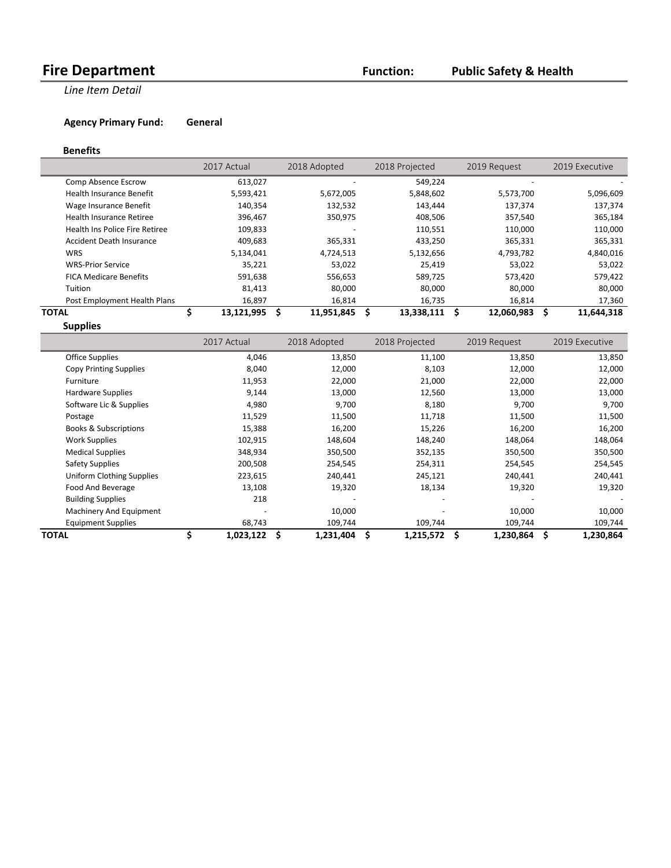**Line Item Detail** 

**Agency Primary Fund: General** 

#### **Benefits**

|                                       | 2017 Actual      | 2018 Adopted     | 2018 Projected  | 2019 Request    | 2019 Executive   |
|---------------------------------------|------------------|------------------|-----------------|-----------------|------------------|
| Comp Absence Escrow                   | 613,027          |                  | 549,224         |                 |                  |
| <b>Health Insurance Benefit</b>       | 5,593,421        | 5,672,005        | 5,848,602       | 5,573,700       | 5,096,609        |
| Wage Insurance Benefit                | 140,354          | 132,532          | 143,444         | 137,374         | 137,374          |
| Health Insurance Retiree              | 396,467          | 350,975          | 408,506         | 357,540         | 365,184          |
| <b>Health Ins Police Fire Retiree</b> | 109,833          |                  | 110,551         | 110,000         | 110,000          |
| Accident Death Insurance              | 409,683          | 365,331          | 433,250         | 365,331         | 365,331          |
| <b>WRS</b>                            | 5,134,041        | 4,724,513        | 5,132,656       | 4,793,782       | 4,840,016        |
| <b>WRS-Prior Service</b>              | 35,221           | 53,022           | 25,419          | 53,022          | 53,022           |
| <b>FICA Medicare Benefits</b>         | 591,638          | 556,653          | 589,725         | 573,420         | 579,422          |
| Tuition                               | 81,413           | 80,000           | 80,000          | 80,000          | 80,000           |
| Post Employment Health Plans          | 16,897           | 16,814           | 16,735          | 16,814          | 17,360           |
| ΤΟΤΑL                                 | \$<br>13,121,995 | \$<br>11,951,845 | 13,338,111<br>S | 12,060,983<br>S | Ŝ.<br>11,644,318 |
| <b>Supplies</b>                       |                  |                  |                 |                 |                  |

|                                  | 2017 Actual | 2018 Adopted    | 2018 Projected | 2019 Request | 2019 Executive  |
|----------------------------------|-------------|-----------------|----------------|--------------|-----------------|
| <b>Office Supplies</b>           | 4,046       | 13,850          | 11,100         | 13,850       | 13,850          |
| <b>Copy Printing Supplies</b>    | 8,040       | 12,000          | 8,103          | 12,000       | 12,000          |
| Furniture                        | 11,953      | 22,000          | 21,000         | 22,000       | 22,000          |
| Hardware Supplies                | 9,144       | 13,000          | 12,560         | 13,000       | 13,000          |
| Software Lic & Supplies          | 4,980       | 9,700           | 8,180          | 9,700        | 9,700           |
| Postage                          | 11,529      | 11,500          | 11,718         | 11,500       | 11,500          |
| <b>Books &amp; Subscriptions</b> | 15,388      | 16,200          | 15,226         | 16,200       | 16,200          |
| <b>Work Supplies</b>             | 102,915     | 148,604         | 148,240        | 148,064      | 148,064         |
| <b>Medical Supplies</b>          | 348,934     | 350,500         | 352,135        | 350,500      | 350,500         |
| <b>Safety Supplies</b>           | 200,508     | 254,545         | 254,311        | 254,545      | 254,545         |
| Uniform Clothing Supplies        | 223,615     | 240,441         | 245,121        | 240,441      | 240,441         |
| Food And Beverage                | 13,108      | 19,320          | 18,134         | 19,320       | 19,320          |
| <b>Building Supplies</b>         | 218         |                 |                |              |                 |
| Machinery And Equipment          |             | 10,000          |                | 10,000       | 10,000          |
| <b>Equipment Supplies</b>        | 68,743      | 109,744         | 109,744        | 109,744      | 109,744         |
| <b>TOTAL</b>                     | 1,023,122   | \$<br>1,231,404 | S<br>1,215,572 | 1,230,864    | 1,230,864<br>\$ |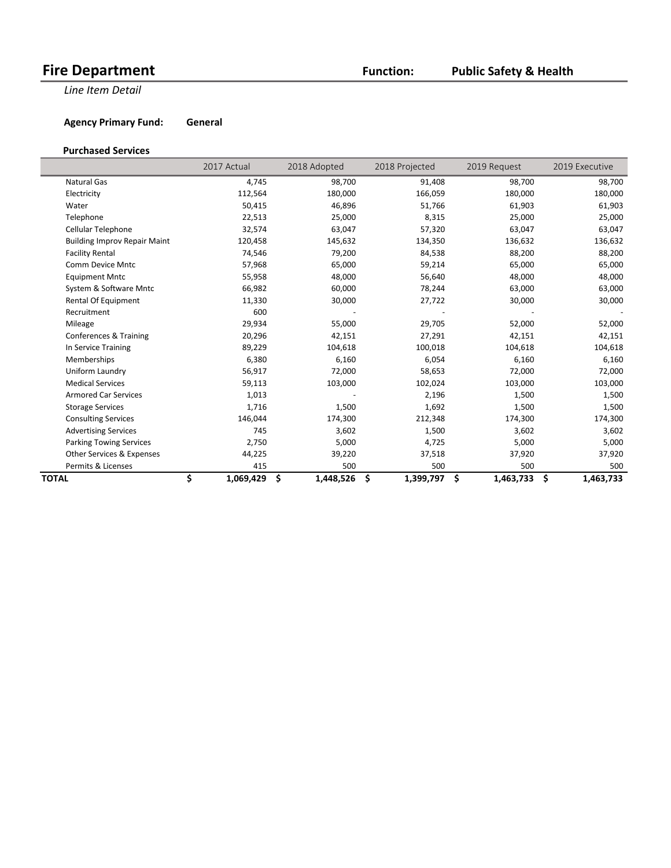### **Public Safety & Health**

**Line Item Detail** 

**Agency Primary Fund: General** 

#### **Purchased Services**

|                                     | 2017 Actual     | 2018 Adopted    | 2018 Projected  | 2019 Request    | 2019 Executive  |
|-------------------------------------|-----------------|-----------------|-----------------|-----------------|-----------------|
| <b>Natural Gas</b>                  | 4,745           | 98,700          | 91,408          | 98,700          | 98,700          |
| Electricity                         | 112,564         | 180,000         | 166,059         | 180,000         | 180,000         |
| Water                               | 50,415          | 46,896          | 51,766          | 61,903          | 61,903          |
| Telephone                           | 22,513          | 25,000          | 8,315           | 25,000          | 25,000          |
| Cellular Telephone                  | 32,574          | 63,047          | 57,320          | 63,047          | 63,047          |
| <b>Building Improv Repair Maint</b> | 120,458         | 145,632         | 134,350         | 136,632         | 136,632         |
| <b>Facility Rental</b>              | 74,546          | 79,200          | 84,538          | 88,200          | 88,200          |
| Comm Device Mntc                    | 57,968          | 65,000          | 59,214          | 65,000          | 65,000          |
| <b>Equipment Mntc</b>               | 55,958          | 48,000          | 56,640          | 48,000          | 48,000          |
| System & Software Mntc              | 66,982          | 60,000          | 78,244          | 63,000          | 63,000          |
| Rental Of Equipment                 | 11,330          | 30,000          | 27,722          | 30,000          | 30,000          |
| Recruitment                         | 600             |                 |                 |                 |                 |
| Mileage                             | 29,934          | 55,000          | 29,705          | 52,000          | 52,000          |
| Conferences & Training              | 20,296          | 42,151          | 27,291          | 42,151          | 42,151          |
| In Service Training                 | 89,229          | 104,618         | 100,018         | 104,618         | 104,618         |
| Memberships                         | 6,380           | 6,160           | 6,054           | 6,160           | 6,160           |
| Uniform Laundry                     | 56,917          | 72,000          | 58,653          | 72,000          | 72,000          |
| <b>Medical Services</b>             | 59,113          | 103,000         | 102,024         | 103,000         | 103,000         |
| <b>Armored Car Services</b>         | 1,013           |                 | 2,196           | 1,500           | 1,500           |
| <b>Storage Services</b>             | 1,716           | 1,500           | 1,692           | 1,500           | 1,500           |
| <b>Consulting Services</b>          | 146,044         | 174,300         | 212,348         | 174,300         | 174,300         |
| <b>Advertising Services</b>         | 745             | 3,602           | 1,500           | 3,602           | 3,602           |
| <b>Parking Towing Services</b>      | 2,750           | 5,000           | 4,725           | 5,000           | 5,000           |
| Other Services & Expenses           | 44,225          | 39,220          | 37,518          | 37,920          | 37,920          |
| Permits & Licenses                  | 415             | 500             | 500             | 500             | 500             |
| TOTAL                               | \$<br>1,069,429 | \$<br>1,448,526 | \$<br>1,399,797 | \$<br>1,463,733 | \$<br>1,463,733 |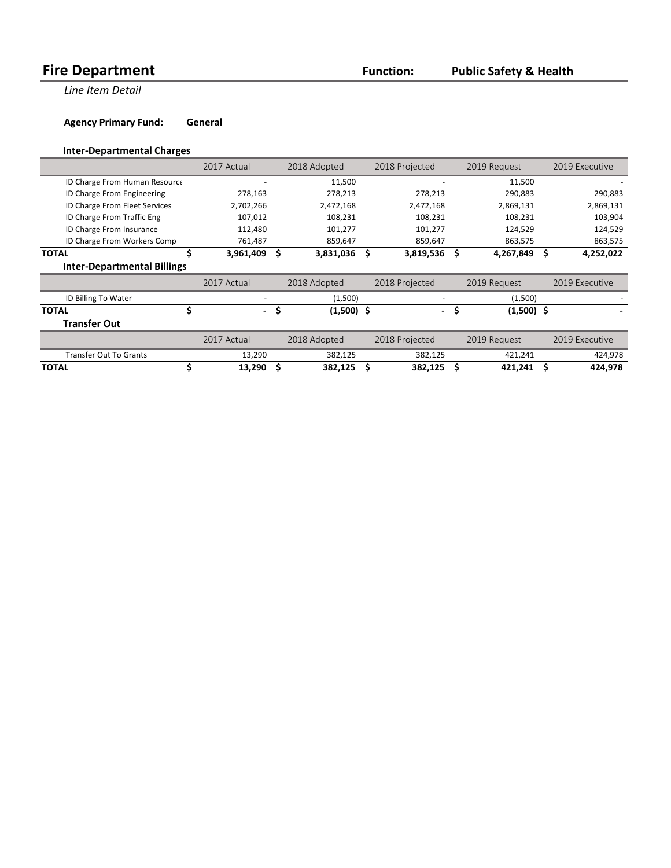**Line Item Detail** 

**Agency Primary Fund: General** 

#### **Inter-Departmental Charges**

|                                    |    | 2017 Actual |     | 2018 Adopted |     | 2018 Projected |     | 2019 Request |    | 2019 Executive |
|------------------------------------|----|-------------|-----|--------------|-----|----------------|-----|--------------|----|----------------|
| ID Charge From Human Resource      |    |             |     | 11,500       |     |                |     | 11,500       |    |                |
| ID Charge From Engineering         |    | 278,163     |     | 278,213      |     | 278,213        |     | 290,883      |    | 290,883        |
| ID Charge From Fleet Services      |    | 2,702,266   |     | 2,472,168    |     | 2,472,168      |     | 2,869,131    |    | 2,869,131      |
| ID Charge From Traffic Eng         |    | 107,012     |     | 108,231      |     | 108,231        |     | 108,231      |    | 103,904        |
| ID Charge From Insurance           |    | 112,480     |     | 101,277      |     | 101,277        |     | 124,529      |    | 124,529        |
| ID Charge From Workers Comp        |    | 761,487     |     | 859,647      |     | 859,647        |     | 863,575      |    | 863,575        |
| <b>TOTAL</b>                       | \$ | 3,961,409   | \$  | 3,831,036    | - Ś | 3,819,536      | \$  | 4,267,849    | \$ | 4,252,022      |
| <b>Inter-Departmental Billings</b> |    |             |     |              |     |                |     |              |    |                |
|                                    |    | 2017 Actual |     | 2018 Adopted |     | 2018 Projected |     | 2019 Request |    | 2019 Executive |
| ID Billing To Water                |    |             |     | (1,500)      |     |                |     | (1,500)      |    |                |
| <b>TOTAL</b>                       | Ś  | $\sim$      | .\$ | $(1,500)$ \$ |     | $\sim$         | \$. | $(1,500)$ \$ |    |                |
| <b>Transfer Out</b>                |    |             |     |              |     |                |     |              |    |                |
|                                    |    | 2017 Actual |     | 2018 Adopted |     | 2018 Projected |     | 2019 Request |    | 2019 Executive |
| <b>Transfer Out To Grants</b>      |    | 13,290      |     | 382,125      |     | 382,125        |     | 421,241      |    | 424,978        |
| <b>TOTAL</b>                       |    | 13,290      | Ś   | 382,125      | \$  | 382,125        | \$  | 421,241      | Ś  | 424,978        |